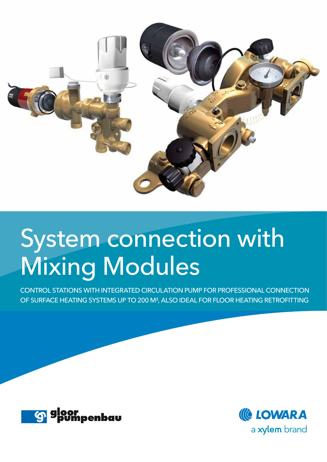

## System connection with Mixing Modules

CONTROL STATIONS WITH INTEGRATED CIRCULATION PUMP FOR PROFESSIONAL CONNECTION OF SURFACE HEATING SYSTEMS UP TO 200 M², ALSO IDEAL FOR FLOOR HEATING RETROFITTING



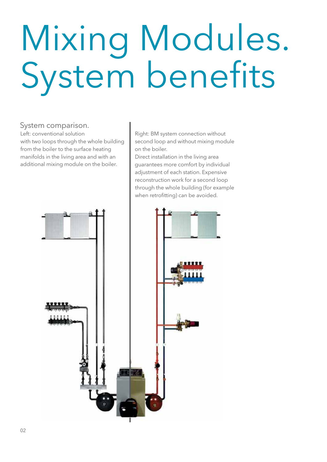# Mixing Modules. System benefits

#### System comparison.

Left: conventional solution with two loops through the whole building from the boiler to the surface heating manifolds in the living area and with an additional mixing module on the boiler.

Right: BM system connection without second loop and without mixing module on the boiler.

Direct installation in the living area guarantees more comfort by individual adjustment of each station. Expensive reconstruction work for a second loop through the whole building (for example when retrofitting) can be avoided.

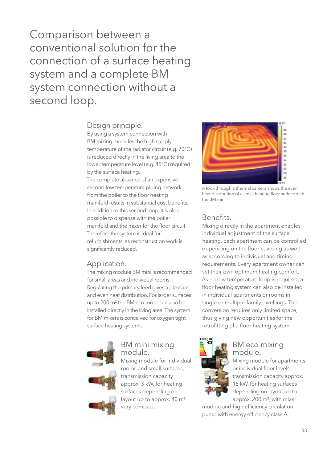Comparison between a conventional solution for the connection of a surface heating system and a complete BM system connection without a second loop.

#### Design principle.

By using a system connection with BM mixing modules the high supply temperature of the radiator circuit (e.g. 70°C) is reduced directly in the living area to the lower temperature level (e.g. 45°C) required by the surface heating. The complete absence of an expensive

second low temperature piping network from the boiler to the floor heating manifold results in substantial cost benefits. In addition to this second loop, it is also possible to dispense with the boiler manifold and the mixer for the floor circuit. Therefore the system is ideal for refurbishments, as reconstruction work is significantly reduced.

#### Application.

The mixing module BM mini is recommended for small areas and individual rooms. Regulating the primary feed gives a pleasant and even heat distribution. For larger surfaces up to 200 m<sup>2</sup> the BM eco mixer can also be installed directly in the living area. The system for BM mixers is conceived for oxygen tight surface heating systems.



## BM mini mixing module.

Mixing module for individual rooms and small surfaces, transmission capacity approx. 3 kW, for heating surfaces depending on layout up to approx. 40 m<sup>2</sup> very compact.



A look through a thermal camera shows the even heat distribution of a small heating floor surface with the BM mini

#### Benefits.

Mixing directly in the apartment enables individual adjustment of the surface heating. Each apartment can be controlled depending on the floor covering as well as according to individual and timing requirements. Every apartment owner can set their own optimum heating comfort. As no low temperature loop is required, a floor heating system can also be installed in individual apartments or rooms in single or multiple-family dwellings. The conversion requires only limited space, thus giving new opportunities for the retrofitting of a floor heating system.



#### BM eco mixing module.

Mixing module for apartments or individual floor levels, transmission capacity approx. 15 kW, for heating surfaces depending on layout up to approx. 200 m², with mixer

module and high efficiency circulation pump with energy efficiency class A.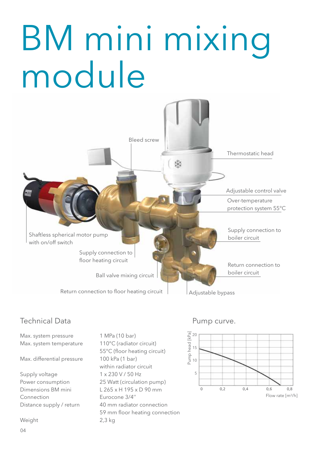## BM mini mixing module



### Technical Data **Pump** curve.

Max. system pressure 1 MPa (10 bar) Max. system temperature 110°C (radiator circuit)

Max. differential pressure 100 kPa (1 bar)

Supply voltage 1 x 230 V / 50 Hz Connection Eurocone 3/4''

Weight 2,3 kg

04

55°C (floor heating circuit) within radiator circuit Power consumption 25 Watt (circulation pump) Dimensions BM mini L 265 x H 195 x D 90 mm Distance supply / return 40 mm radiator connection 59 mm floor heating connection

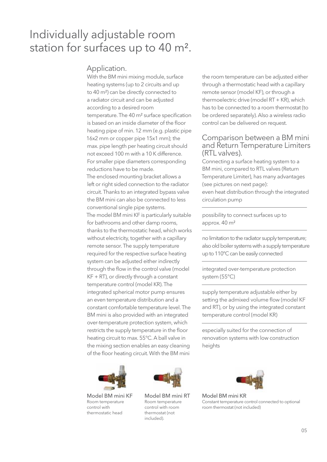## Individually adjustable room station for surfaces up to 40 m².

#### Application.

With the BM mini mixing module, surface heating systems (up to 2 circuits and up to 40 m²) can be directly connected to a radiator circuit and can be adjusted according to a desired room temperature. The 40 m<sup>2</sup> surface specification is based on an inside diameter of the floor heating pipe of min. 12 mm (e.g. plastic pipe 16x2 mm or copper pipe 15x1 mm); the max. pipe length per heating circuit should not exceed 100 m with a 10 K difference. For smaller pipe diameters corresponding reductions have to be made. The enclosed mounting bracket allows a left or right sided connection to the radiator circuit. Thanks to an integrated bypass valve the BM mini can also be connected to less conventional single pipe systems. The model BM mini KF is particularly suitable for bathrooms and other damp rooms, thanks to the thermostatic head, which works without electricity, together with a capillary remote sensor. The supply temperature required for the respective surface heating system can be adjusted either indirectly through the flow in the control valve (model KF + RT), or directly through a constant temperature control (model KR). The integrated spherical motor pump ensures an even temperature distribution and a constant comfortable temperature level. The BM mini is also provided with an integrated over-temperature protection system, which restricts the supply temperature in the floor heating circuit to max. 55°C. A ball valve in the mixing section enables an easy cleaning of the floor heating circuit. With the BM mini



Model BM mini KF Room temperature control with thermostatic head



Model BM mini RT Room temperature control with room thermostat (not included).

the room temperature can be adjusted either through a thermostatic head with a capillary remote sensor (model KF), or through a thermoelectric drive (model RT + KR), which has to be connected to a room thermostat (to be ordered separately). Also a wireless radio control can be delivered on request.

#### Comparison between a BM mini and Return Temperature Limiters (RTL valves).

Connecting a surface heating system to a BM mini, compared to RTL valves (Return Temperature Limiter), has many advantages (see pictures on next page):

even heat distribution through the integrated circulation pump

possibility to connect surfaces up to approx. 40 m²

no limitation to the radiator supply temperature; also old boiler systems with a supply temperature up to 110°C can be easily connected

integrated over-temperature protection system (55°C)

supply temperature adjustable either by setting the admixed volume flow (model KF and RT), or by using the integrated constant temperature control (model KR)

especially suited for the connection of renovation systems with low construction heights



Model BM mini KR Constant temperature control connected to optional room thermostat (not included)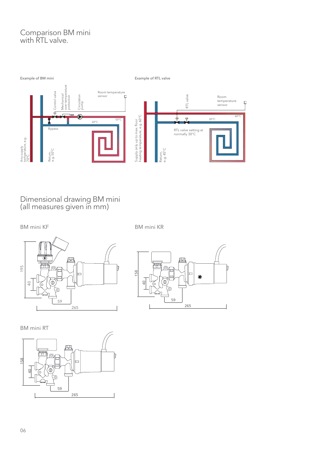#### Comparison BM mini with RTL valve.



Dimensional drawing BM mini (all measures given in mm)

BM mini KF BM mini KR





BM mini RT

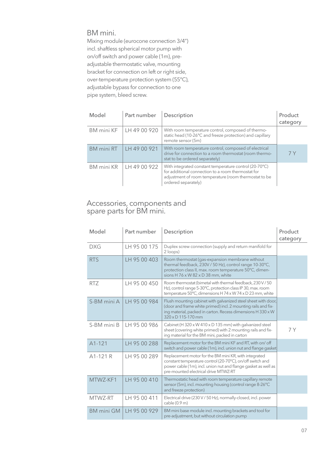#### BM mini.

Mixing module (eurocone connection 3/4") incl. shaftless spherical motor pump with on/off switch and power cable (1m), preadjustable thermostatic valve, mounting bracket for connection on left or right side, over-temperature protection system (55°C), adjustable bypass for connection to one pipe system, bleed screw.

| Model             | Part number  | Description                                                                                                                                                                                  | Product<br>category |
|-------------------|--------------|----------------------------------------------------------------------------------------------------------------------------------------------------------------------------------------------|---------------------|
| <b>BM</b> mini KF | LH 49 00 920 | With room temperature control, composed of thermo-<br>static head (10-26°C and freeze protection) and capillary<br>remote sensor (5m)                                                        |                     |
| BM mini RT        | LH 49 00 921 | With room temperature control, composed of electrical<br>drive for connection to a room thermostat (room thermo-<br>stat to be ordered separately)                                           | 7 Y                 |
| <b>BM</b> mini KR | LH 49 00 922 | With integrated constant temperature control (20-70°C)<br>for additional connection to a room thermostat for<br>adjustment of room temperature (room thermostat to be<br>ordered separately) |                     |

#### Accessories, components and spare parts for BM mini.

| Model             | Part number     | Description                                                                                                                                                                                                                  | Product<br>category |
|-------------------|-----------------|------------------------------------------------------------------------------------------------------------------------------------------------------------------------------------------------------------------------------|---------------------|
| <b>DXG</b>        | TH 95 00 175    | Duplex screw connection (supply and return manifold for<br>2 loops)                                                                                                                                                          |                     |
| <b>RTS</b>        | LH 95 00 403    | Room thermostat (gas-expansion membrane without<br>thermal feedback, 230V / 50 Hz), control range 10-30°C,<br>protection class II, max. room temperature 50°C, dimen-<br>sions H 76 x W 82 x D 38 mm, white                  |                     |
| <b>RTZ</b>        | LH 95 00 450    | Room thermostat (bimetal with thermal feedback, 230 V / 50<br>Hz), control range 5-30°C, protection class IP 30, max. room<br>temperature 50°C, dimensions H 74 x W 74 x D 23 mm, white                                      |                     |
| S-BM mini A       | I I H 95 00 984 | Flush mounting cabinet with galvanized steel sheet with door,<br>(door and frame white primed) incl. 2 mounting rails and fix-<br>ing material, packed in carton. Recess dimensions H 330 x W<br>$320 \times D$ 115-170 mm   |                     |
| S-BM mini B       | TH 95 00 986    | Cabinet (H 320 x W 410 x D 135 mm) with galvanized steel<br>sheet (covering white primed) with 2 mounting rails and fix-<br>ing material for the BM mini, packed in carton                                                   | 7 Y                 |
| A1-121            | LH 95 00 288    | Replacement motor for the BM mini KF and RT, with on/ off<br>switch and power cable (1m), incl. union nut and flange gasket                                                                                                  |                     |
| A1-121 R          | LH 95 00 289    | Replacement motor for the BM mini KR, with integrated<br>constant temperature control (20-70°C), on/off switch and<br>power cable (1m), incl. union nut and flange gasket as well as<br>pre-mounted electrical drive MTWZ-RT |                     |
| MTWZ-KF1          | LH 95 00 410    | Thermostatic head with room temperature capillary remote<br>sensor (5m), incl. mounting housing (control range 8-26°C<br>and freeze protection)                                                                              |                     |
| MTWZ-RT           | LH 95 00 411    | Electrical drive (230 V / 50 Hz), normally-closed, incl. power<br>cable (0.9 m)                                                                                                                                              |                     |
| <b>BM</b> mini GM | IH 95 00 929    | BM mini base module incl. mounting brackets and tool for<br>pre-adjustment, but without circulation pump                                                                                                                     |                     |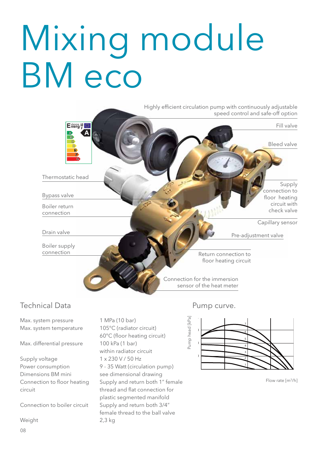## Mixing module BM eco

Highly efficient circulation pump with continuously adjustable speed control and safe-off option Energ il Fill valve Bleed valve Thermostatic head Supply connection to Bypass valve floor heating circuit with Boiler return check valve connection Capillary sensor Drain valve Pre-adjustment valve Boiler supply connection Return connection to floor heating circuit Connection for the immersion sensor of the heat meter

### Technical Data

Max. system pressure 1 MPa (10 bar) Max. system temperature 105°C (radiator circuit)

Max. differential pressure 100 kPa (1 bar)

Supply voltage 1 x 230 V / 50 Hz Dimensions BM mini see dimensional drawing

Weight 2,3 kg

08

60°C (floor heating circuit) within radiator circuit Power consumption 9 - 35 Watt (circulation pump) Connection to floor heating Supply and return both 1" female circuit thread and flat connection for plastic segmented manifold Connection to boiler circuit Supply and return both 3/4" female thread to the ball valve

#### Pump curve.



Flow rate [m<sup>3</sup>/h]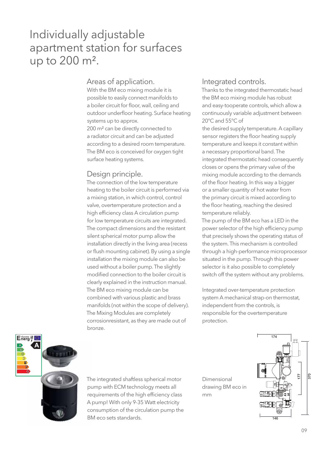## Individually adjustable apartment station for surfaces up to 200 m².

#### Areas of application.

With the BM eco mixing module it is possible to easily connect manifolds to a boiler circuit for floor, wall, ceiling and outdoor underfloor heating. Surface heating systems up to approx.

200 m² can be directly connected to a radiator circuit and can be adjusted according to a desired room temperature. The BM eco is conceived for oxygen tight surface heating systems.

#### Design principle.

The connection of the low temperature heating to the boiler circuit is performed via a mixing station, in which control, control valve, overtemperature protection and a high efficiency class A circulation pump for low temperature circuits are integrated. The compact dimensions and the resistant silent spherical motor pump allow the installation directly in the living area (recess or flush mounting cabinet). By using a single installation the mixing module can also be used without a boiler pump. The slightly modified connection to the boiler circuit is clearly explained in the instruction manual. The BM eco mixing module can be combined with various plastic and brass manifolds (not within the scope of delivery). The Mixing Modules are completely corrosionresistant, as they are made out of bronze.

#### Integrated controls.

Thanks to the integrated thermostatic head the BM eco mixing module has robust and easy-tooperate controls, which allow a continuously variable adjustment between 20°C and 55°C of

the desired supply temperature. A capillary sensor registers the floor heating supply temperature and keeps it constant within a necessary proportional band. The integrated thermostatic head consequently closes or opens the primary valve of the mixing module according to the demands of the floor heating. In this way a bigger or a smaller quantity of hot water from the primary circuit is mixed according to the floor heating, reaching the desired temperature reliably.

The pump of the BM eco has a LED in the power selector of the high efficiency pump that precisely shows the operating status of the system. This mechanism is controlled through a high-performance microprocessor situated in the pump. Through this power selector is it also possible to completely switch off the system without any problems.

Integrated over-temperature protection system A mechanical strap-on thermostat, independent from the controls, is responsible for the overtemperature protection.



The integrated shaftless spherical motor pump with ECM technology meets all requirements of the high efficiency class A pump! With only 9-35 Watt electricity consumption of the circulation pump the BM eco sets standards.

Dimensional drawing BM eco in mm

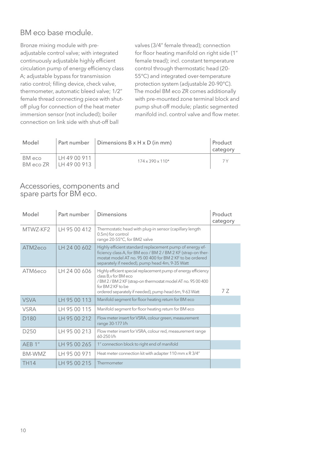### BM eco base module.

Bronze mixing module with preadjustable control valve; with integrated continuously adjustable highly efficient circulation pump of energy efficiency class A; adjustable bypass for transmission ratio control; filling device, check valve, thermometer, automatic bleed valve; 1/2" female thread connecting piece with shutoff plug for connection of the heat meter immersion sensor (not included); boiler connection on link side with shut-off ball

valves (3/4" female thread); connection for floor heating manifold on right side (1" female tread); incl. constant temperature control through thermostatic head (20- 55°C) and integrated over-temperature protection system (adjustable 20-90°C). The model BM eco ZR comes additionally with pre-mounted zone terminal block and pump shut-off module; plastic segmented manifold incl. control valve and flow meter.

| Model               |                                | Part number $ $ Dimensions B x H x D (in mm) | Product<br>category |
|---------------------|--------------------------------|----------------------------------------------|---------------------|
| BM eco<br>BM eco ZR | LH 49 00 911<br>  LH 49 00 913 | $174 \times 390 \times 110^*$                | 7 V                 |

#### Accessories, components and spare parts for BM eco.

| Model            | Part number  | <b>Dimensions</b>                                                                                                                                                                                                                      | Product<br>category |
|------------------|--------------|----------------------------------------------------------------------------------------------------------------------------------------------------------------------------------------------------------------------------------------|---------------------|
| MTWZ-KF2         | LH 95 00 412 | Thermostatic head with plug-in sensor (capillary length<br>0.5m) for control<br>range 20-55°C, for BM2 valve                                                                                                                           |                     |
| ATM2eco          | LH 24 00 602 | Highly efficient standard replacement pump of energy ef-<br>ficiency class A, for BM eco / BM 2 / BM 2 KF (strap-on ther-<br>mostat model AT no. 95 00 400 for BM 2 KF to be ordered<br>separately if needed), pump head 4m, 9-35 Watt |                     |
| ATM6eco          | TH 24 00 606 | Highly efficient special replacement pump of energy efficiency<br>class B, v for BM eco<br>/BM 2 / BM 2 KF (strap-on thermostat model AT no. 95 00 400<br>for BM 2 KF to be<br>ordered separately if needed), pump head 6m, 9-63 Watt  | 77                  |
| <b>VSVA</b>      | LH 95 00 113 | Manifold segment for floor heating return for BM eco                                                                                                                                                                                   |                     |
| <b>VSRA</b>      | LH 95 00 115 | Manifold segment for floor heating return for BM eco                                                                                                                                                                                   |                     |
| D <sub>180</sub> | LH 95 00 212 | Flow meter insert for VSRA, colour green, measurement<br>range 30-177 l/h                                                                                                                                                              |                     |
| D <sub>250</sub> | LH 95 00 213 | Flow meter insert for VSRA, colour red, measurement range<br>60-250 l/h                                                                                                                                                                |                     |
| AEB 1"           | LH 95 00 265 | 1" connection block to right end of manifold                                                                                                                                                                                           |                     |
| BM-WM7           | LH 95 00 971 | Heat meter connection kit with adapter 110 mm x R 3/4"                                                                                                                                                                                 |                     |
| <b>TH14</b>      | LH 95 00 215 | Thermometer                                                                                                                                                                                                                            |                     |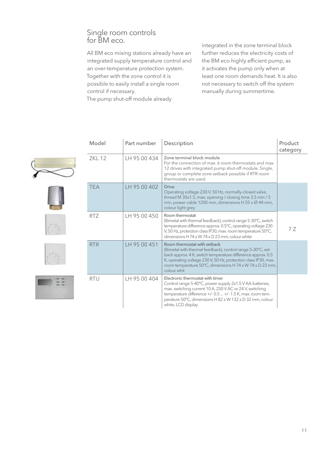#### Single room controls for BM eco.

All BM eco mixing stations already have an integrated supply temperature control and an over-temperature protection system. Together with the zone control it is possible to easily install a single room control if necessary.

The pump shut-off module already

integrated in the zone terminal block further reduces the electricity costs of the BM eco highly efficient pump, as it activates the pump only when at least one room demands heat. It is also not necessary to switch off the system manually during summertime.











| Model      | Part number  | Description                                                                                                                                                                                                                                                                                             | Product<br>category |
|------------|--------------|---------------------------------------------------------------------------------------------------------------------------------------------------------------------------------------------------------------------------------------------------------------------------------------------------------|---------------------|
| 7KI 12     | TH 95 00 434 | Zone terminal block module<br>For the connection of max, 6 room thermostats and max.<br>12 drives with integrated pump shut-off module. Single,<br>group or complete zone setback possible if RTR room<br>thermostats are used.                                                                         |                     |
| <b>TFA</b> | TH 95 00 402 | <b>Drive</b><br>Operating voltage 230 V, 50 Hz, normally-closed valve,<br>thread M 30x1.5, max. opening / closing time 3.5 min / 5<br>min, power cable 1200 mm, dimensions H 55 x Ø 44 mm,<br>colour light grey                                                                                         |                     |
| RTZ        | TH 95 00 450 | Room thermostat<br>(Bimetal with thermal feedback), control range 5-30°C, switch<br>temperature difference approx. 0.5°C, operating voltage 230<br>V, 50 Hz, protection class IP30, max. room temperature 50°C,<br>dimensions H 74 x W 74 x D 23 mm, colour white                                       | 7 Z                 |
| <b>RTR</b> | LH 95 00 451 | Room thermostat with setback<br>(Bimetal with thermal feedback), control range 5-30°C, set-<br>back approx. 4 K, switch temperature difference approx. 0.5<br>K, operating voltage 230 V, 50 Hz, protection class IP30, max.<br>room temperature 50°C, dimensions H 74 x W 74 x D 23 mm,<br>colour whit |                     |
| <b>RTU</b> | LH 95 00 404 | Electronic thermostat with timer<br>Control range 5-40°C, power supply 2x1.5 V AA-batteries,<br>max. switching current 10 A, 250 V AC or 24 V, switching<br>temperature difference +/- 0.5  +/- 1.5 K, max. room tem-<br>perature 50°C, dimensions H 82 x W 132 x D 32 mm, colour<br>white, LCD display |                     |